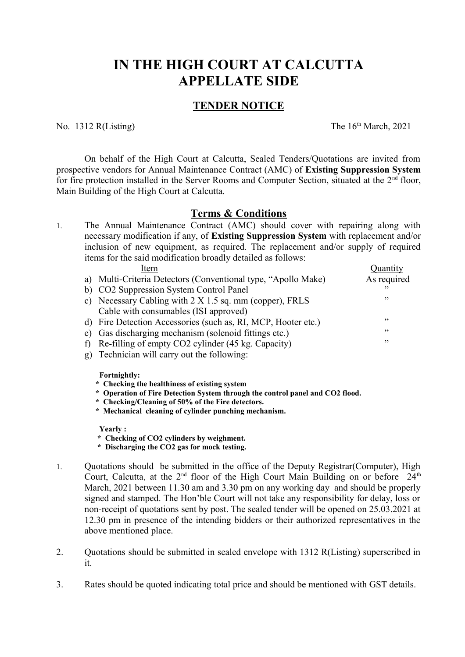## **IN THE HIGH COURT AT CALCUTTA APPELLATE SIDE**

## **TENDER NOTICE**

No.  $1312$  R(Listing) The  $16<sup>th</sup>$  March, 2021

On behalf of the High Court at Calcutta, Sealed Tenders/Quotations are invited from prospective vendors for Annual Maintenance Contract (AMC) of **Existing Suppression System** for fire protection installed in the Server Rooms and Computer Section, situated at the  $2<sup>nd</sup>$  floor, Main Building of the High Court at Calcutta.

## **Terms & Conditions**

1. The Annual Maintenance Contract (AMC) should cover with repairing along with necessary modification if any, of **Existing Suppression System** with replacement and/or inclusion of new equipment, as required. The replacement and/or supply of required items for the said modification broadly detailed as follows:

| Item                                                           | Quantity                 |
|----------------------------------------------------------------|--------------------------|
| a) Multi-Criteria Detectors (Conventional type, "Apollo Make)  | As required              |
| b) CO2 Suppression System Control Panel                        | $\overline{\phantom{a}}$ |
| c) Necessary Cabling with $2 \times 1.5$ sq. mm (copper), FRLS | , 2                      |
| Cable with consumables (ISI approved)                          |                          |
| d) Fire Detection Accessories (such as, RI, MCP, Hooter etc.)  | , 2                      |
| e) Gas discharging mechanism (solenoid fittings etc.)          | , 2                      |
| f) Re-filling of empty CO2 cylinder (45 kg. Capacity)          | , 2                      |
| g) Technician will carry out the following:                    |                          |

**Fortnightly:**

- **\* Checking the healthiness of existing system**
- **\* Operation of Fire Detection System through the control panel and CO2 flood.**
- **\* Checking/Cleaning of 50% of the Fire detectors.**
- **\* Mechanical cleaning of cylinder punching mechanism.**

**Yearly :**

- **\* Checking of CO2 cylinders by weighment.**
- **\* Discharging the CO2 gas for mock testing.**
- 1. Quotations should be submitted in the office of the Deputy Registrar(Computer), High Court, Calcutta, at the  $2<sup>nd</sup>$  floor of the High Court Main Building on or before  $24<sup>th</sup>$ March, 2021 between 11.30 am and 3.30 pm on any working day and should be properly signed and stamped. The Hon'ble Court will not take any responsibility for delay, loss or non-receipt of quotations sent by post. The sealed tender will be opened on 25.03.2021 at 12.30 pm in presence of the intending bidders or their authorized representatives in the above mentioned place.
- 2. Ouotations should be submitted in sealed envelope with 1312 R(Listing) superscribed in it.
- 3. Rates should be quoted indicating total price and should be mentioned with GST details.